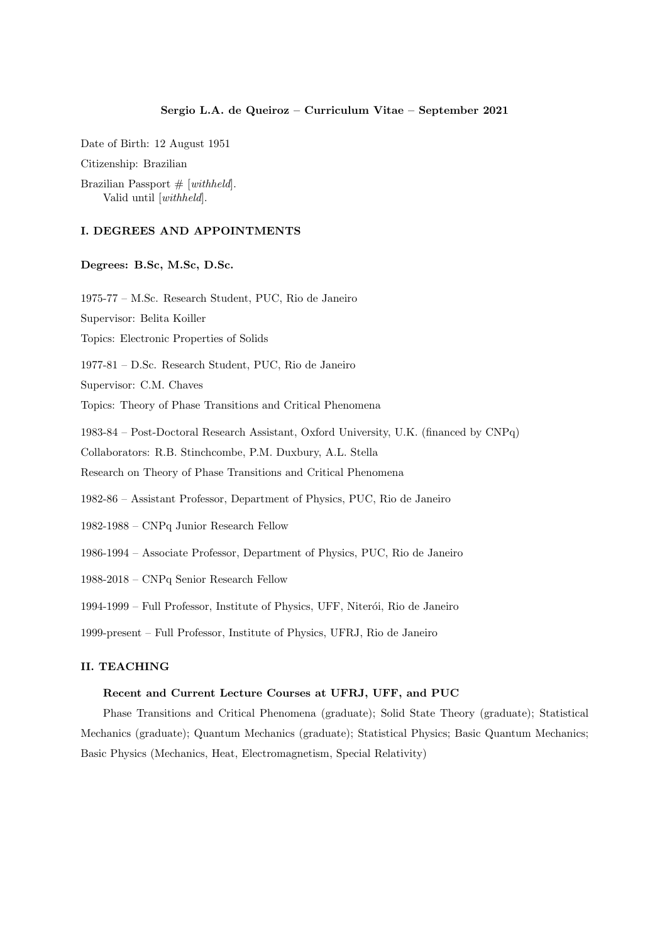### Sergio L.A. de Queiroz – Curriculum Vitae – September 2021

Date of Birth: 12 August 1951

Citizenship: Brazilian

Brazilian Passport  $# [with held].$ Valid until [withheld].

# I. DEGREES AND APPOINTMENTS

## Degrees: B.Sc, M.Sc, D.Sc.

1975-77 – M.Sc. Research Student, PUC, Rio de Janeiro

Supervisor: Belita Koiller

Topics: Electronic Properties of Solids

1977-81 – D.Sc. Research Student, PUC, Rio de Janeiro

Supervisor: C.M. Chaves

Topics: Theory of Phase Transitions and Critical Phenomena

1983-84 – Post-Doctoral Research Assistant, Oxford University, U.K. (financed by CNPq)

Collaborators: R.B. Stinchcombe, P.M. Duxbury, A.L. Stella

Research on Theory of Phase Transitions and Critical Phenomena

1982-86 – Assistant Professor, Department of Physics, PUC, Rio de Janeiro

- 1982-1988 CNPq Junior Research Fellow
- 1986-1994 Associate Professor, Department of Physics, PUC, Rio de Janeiro
- 1988-2018 CNPq Senior Research Fellow

1994-1999 – Full Professor, Institute of Physics, UFF, Niterói, Rio de Janeiro

1999-present – Full Professor, Institute of Physics, UFRJ, Rio de Janeiro

# II. TEACHING

## Recent and Current Lecture Courses at UFRJ, UFF, and PUC

Phase Transitions and Critical Phenomena (graduate); Solid State Theory (graduate); Statistical Mechanics (graduate); Quantum Mechanics (graduate); Statistical Physics; Basic Quantum Mechanics; Basic Physics (Mechanics, Heat, Electromagnetism, Special Relativity)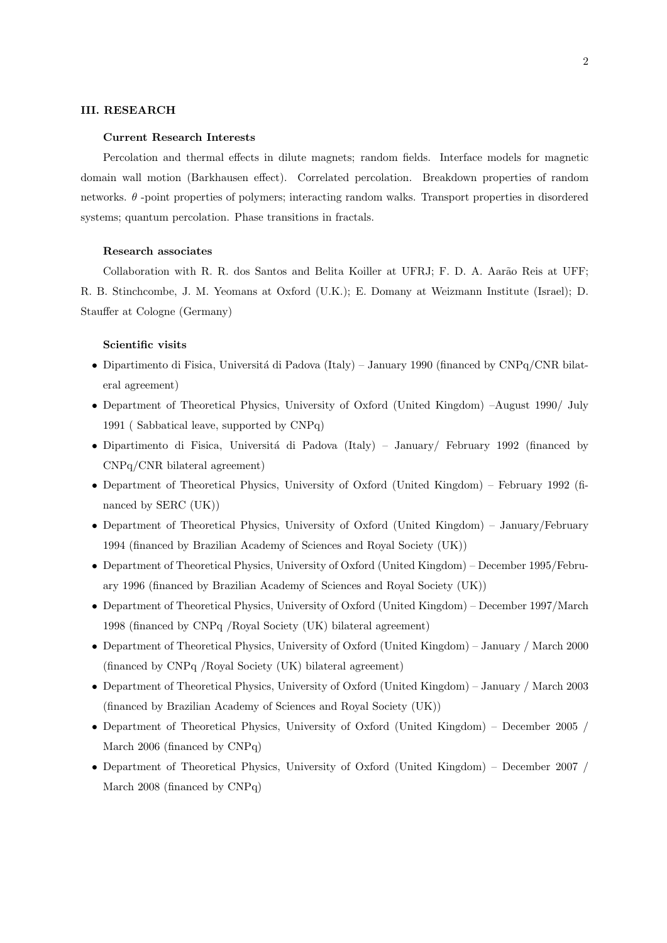### III. RESEARCH

#### Current Research Interests

Percolation and thermal effects in dilute magnets; random fields. Interface models for magnetic domain wall motion (Barkhausen effect). Correlated percolation. Breakdown properties of random networks. θ -point properties of polymers; interacting random walks. Transport properties in disordered systems; quantum percolation. Phase transitions in fractals.

### Research associates

Collaboration with R. R. dos Santos and Belita Koiller at UFRJ; F. D. A. Aarão Reis at UFF; R. B. Stinchcombe, J. M. Yeomans at Oxford (U.K.); E. Domany at Weizmann Institute (Israel); D. Stauffer at Cologne (Germany)

### Scientific visits

- Dipartimento di Fisica, Università di Padova (Italy) January 1990 (financed by  $\text{CNPq/CNR}$  bilateral agreement)
- Department of Theoretical Physics, University of Oxford (United Kingdom) –August 1990/ July 1991 ( Sabbatical leave, supported by CNPq)
- Dipartimento di Fisica, Università di Padova (Italy) January/ February 1992 (financed by CNPq/CNR bilateral agreement)
- Department of Theoretical Physics, University of Oxford (United Kingdom) February 1992 (financed by SERC (UK))
- Department of Theoretical Physics, University of Oxford (United Kingdom) January/February 1994 (financed by Brazilian Academy of Sciences and Royal Society (UK))
- Department of Theoretical Physics, University of Oxford (United Kingdom) December 1995/February 1996 (financed by Brazilian Academy of Sciences and Royal Society (UK))
- Department of Theoretical Physics, University of Oxford (United Kingdom) December 1997/March 1998 (financed by CNPq /Royal Society (UK) bilateral agreement)
- Department of Theoretical Physics, University of Oxford (United Kingdom) January / March 2000 (financed by CNPq /Royal Society (UK) bilateral agreement)
- Department of Theoretical Physics, University of Oxford (United Kingdom) January / March 2003 (financed by Brazilian Academy of Sciences and Royal Society (UK))
- Department of Theoretical Physics, University of Oxford (United Kingdom) December 2005 / March 2006 (financed by CNPq)
- Department of Theoretical Physics, University of Oxford (United Kingdom) December 2007 / March 2008 (financed by CNPq)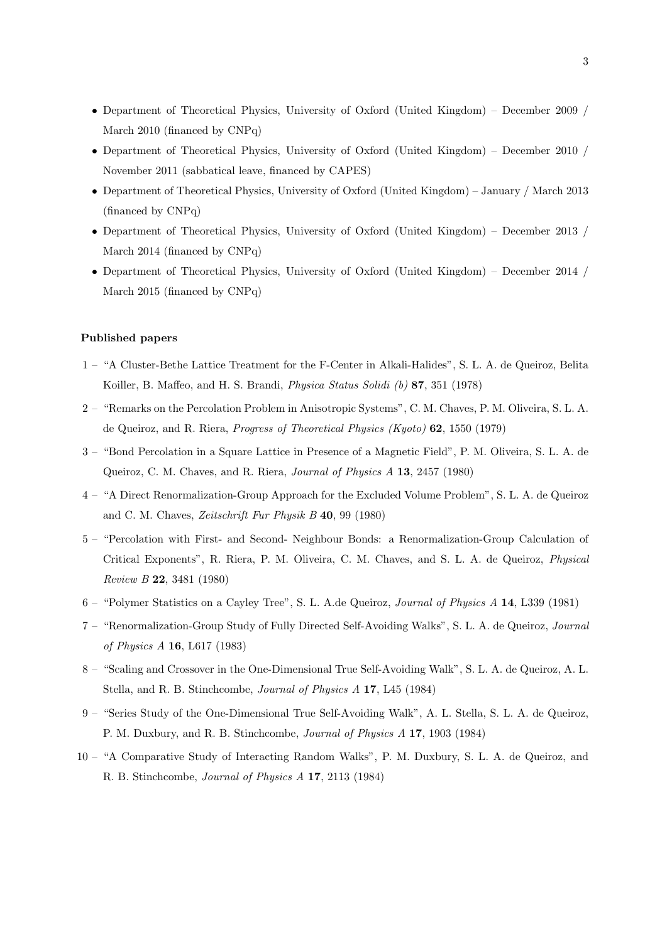- Department of Theoretical Physics, University of Oxford (United Kingdom) December 2009 / March 2010 (financed by CNPq)
- Department of Theoretical Physics, University of Oxford (United Kingdom) December 2010 / November 2011 (sabbatical leave, financed by CAPES)
- Department of Theoretical Physics, University of Oxford (United Kingdom) January / March 2013 (financed by CNPq)
- Department of Theoretical Physics, University of Oxford (United Kingdom) December 2013 / March 2014 (financed by CNPq)
- Department of Theoretical Physics, University of Oxford (United Kingdom) December 2014 / March 2015 (financed by CNPq)

# Published papers

- 1 "A Cluster-Bethe Lattice Treatment for the F-Center in Alkali-Halides", S. L. A. de Queiroz, Belita Koiller, B. Maffeo, and H. S. Brandi, Physica Status Solidi (b) 87, 351 (1978)
- 2 "Remarks on the Percolation Problem in Anisotropic Systems", C. M. Chaves, P. M. Oliveira, S. L. A. de Queiroz, and R. Riera, Progress of Theoretical Physics (Kyoto) 62, 1550 (1979)
- 3 "Bond Percolation in a Square Lattice in Presence of a Magnetic Field", P. M. Oliveira, S. L. A. de Queiroz, C. M. Chaves, and R. Riera, Journal of Physics A 13, 2457 (1980)
- 4 "A Direct Renormalization-Group Approach for the Excluded Volume Problem", S. L. A. de Queiroz and C. M. Chaves, Zeitschrift Fur Physik B 40, 99 (1980)
- 5 "Percolation with First- and Second- Neighbour Bonds: a Renormalization-Group Calculation of Critical Exponents", R. Riera, P. M. Oliveira, C. M. Chaves, and S. L. A. de Queiroz, Physical Review B 22, 3481 (1980)
- 6 "Polymer Statistics on a Cayley Tree", S. L. A.de Queiroz, Journal of Physics A 14, L339 (1981)
- 7 "Renormalization-Group Study of Fully Directed Self-Avoiding Walks", S. L. A. de Queiroz, Journal of Physics A 16, L617 (1983)
- 8 "Scaling and Crossover in the One-Dimensional True Self-Avoiding Walk", S. L. A. de Queiroz, A. L. Stella, and R. B. Stinchcombe, Journal of Physics A 17, L45 (1984)
- 9 "Series Study of the One-Dimensional True Self-Avoiding Walk", A. L. Stella, S. L. A. de Queiroz, P. M. Duxbury, and R. B. Stinchcombe, Journal of Physics A 17, 1903 (1984)
- 10 "A Comparative Study of Interacting Random Walks", P. M. Duxbury, S. L. A. de Queiroz, and R. B. Stinchcombe, Journal of Physics A 17, 2113 (1984)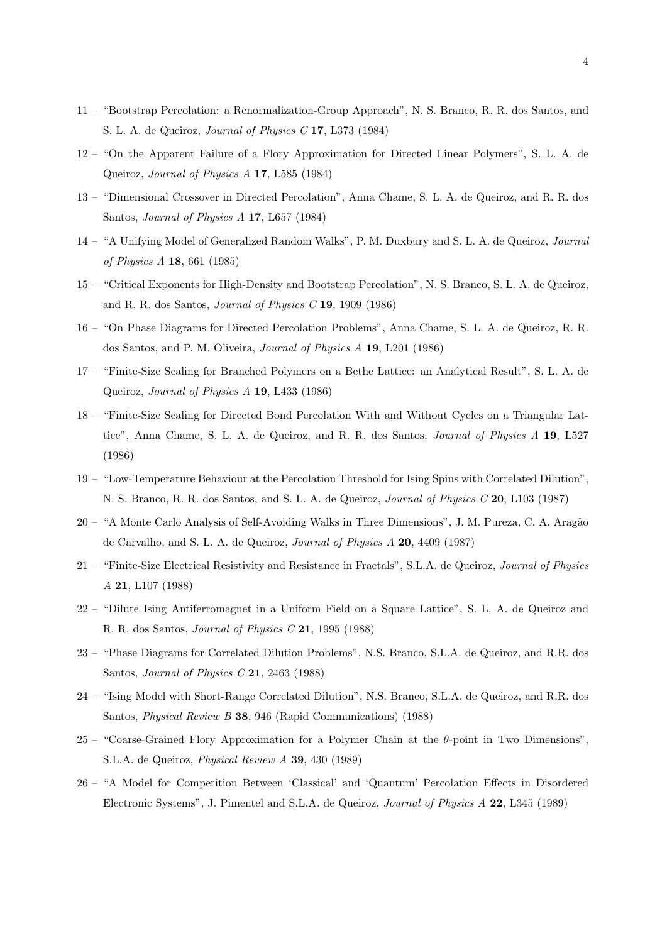- 11 "Bootstrap Percolation: a Renormalization-Group Approach", N. S. Branco, R. R. dos Santos, and S. L. A. de Queiroz, Journal of Physics C 17, L373 (1984)
- 12 "On the Apparent Failure of a Flory Approximation for Directed Linear Polymers", S. L. A. de Queiroz, Journal of Physics A 17, L585 (1984)
- 13 "Dimensional Crossover in Directed Percolation", Anna Chame, S. L. A. de Queiroz, and R. R. dos Santos, Journal of Physics A 17, L657 (1984)
- 14 "A Unifying Model of Generalized Random Walks", P. M. Duxbury and S. L. A. de Queiroz, Journal of Physics A 18, 661 (1985)
- 15 "Critical Exponents for High-Density and Bootstrap Percolation", N. S. Branco, S. L. A. de Queiroz, and R. R. dos Santos, Journal of Physics C 19, 1909 (1986)
- 16 "On Phase Diagrams for Directed Percolation Problems", Anna Chame, S. L. A. de Queiroz, R. R. dos Santos, and P. M. Oliveira, Journal of Physics A 19, L201 (1986)
- 17 "Finite-Size Scaling for Branched Polymers on a Bethe Lattice: an Analytical Result", S. L. A. de Queiroz, Journal of Physics A 19, L433 (1986)
- 18 "Finite-Size Scaling for Directed Bond Percolation With and Without Cycles on a Triangular Lattice", Anna Chame, S. L. A. de Queiroz, and R. R. dos Santos, Journal of Physics A 19, L527 (1986)
- 19 "Low-Temperature Behaviour at the Percolation Threshold for Ising Spins with Correlated Dilution", N. S. Branco, R. R. dos Santos, and S. L. A. de Queiroz, Journal of Physics C 20, L103 (1987)
- 20 "A Monte Carlo Analysis of Self-Avoiding Walks in Three Dimensions", J. M. Pureza, C. A. Arag˜ao de Carvalho, and S. L. A. de Queiroz, Journal of Physics A 20, 4409 (1987)
- 21 "Finite-Size Electrical Resistivity and Resistance in Fractals", S.L.A. de Queiroz, Journal of Physics A 21, L107 (1988)
- 22 "Dilute Ising Antiferromagnet in a Uniform Field on a Square Lattice", S. L. A. de Queiroz and R. R. dos Santos, Journal of Physics C 21, 1995 (1988)
- 23 "Phase Diagrams for Correlated Dilution Problems", N.S. Branco, S.L.A. de Queiroz, and R.R. dos Santos, Journal of Physics C 21, 2463 (1988)
- 24 "Ising Model with Short-Range Correlated Dilution", N.S. Branco, S.L.A. de Queiroz, and R.R. dos Santos, Physical Review B 38, 946 (Rapid Communications) (1988)
- $25$  "Coarse-Grained Flory Approximation for a Polymer Chain at the  $\theta$ -point in Two Dimensions", S.L.A. de Queiroz, Physical Review A 39, 430 (1989)
- 26 "A Model for Competition Between 'Classical' and 'Quantum' Percolation Effects in Disordered Electronic Systems", J. Pimentel and S.L.A. de Queiroz, Journal of Physics A 22, L345 (1989)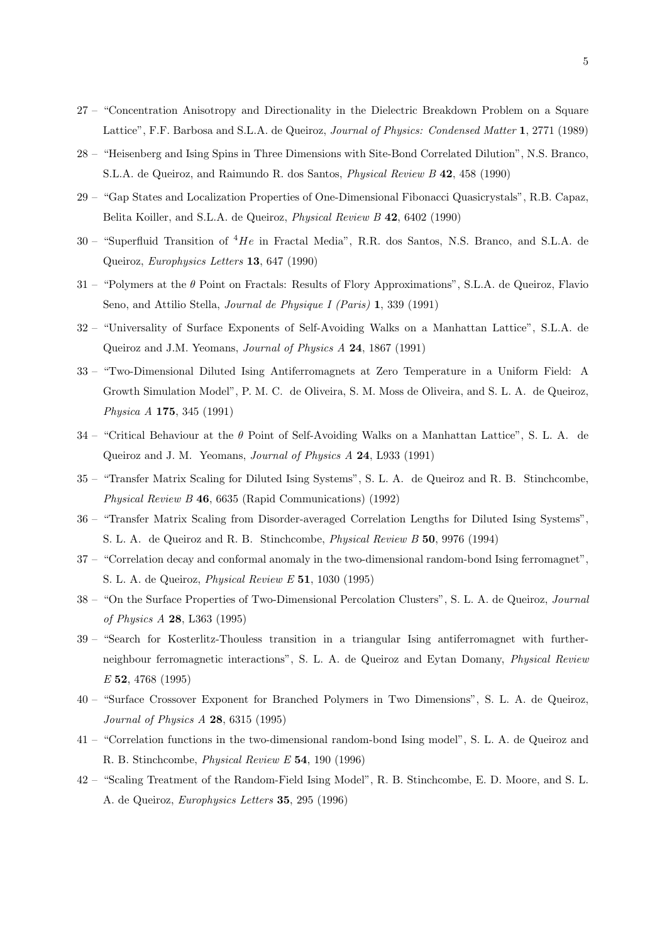- 27 "Concentration Anisotropy and Directionality in the Dielectric Breakdown Problem on a Square Lattice", F.F. Barbosa and S.L.A. de Queiroz, Journal of Physics: Condensed Matter 1, 2771 (1989)
- 28 "Heisenberg and Ising Spins in Three Dimensions with Site-Bond Correlated Dilution", N.S. Branco, S.L.A. de Queiroz, and Raimundo R. dos Santos, Physical Review B 42, 458 (1990)
- 29 "Gap States and Localization Properties of One-Dimensional Fibonacci Quasicrystals", R.B. Capaz, Belita Koiller, and S.L.A. de Queiroz, Physical Review B 42, 6402 (1990)
- $30$  "Superfluid Transition of  ${}^{4}He$  in Fractal Media", R.R. dos Santos, N.S. Branco, and S.L.A. de Queiroz, Europhysics Letters 13, 647 (1990)
- 31 "Polymers at the θ Point on Fractals: Results of Flory Approximations", S.L.A. de Queiroz, Flavio Seno, and Attilio Stella, Journal de Physique I (Paris) 1, 339 (1991)
- 32 "Universality of Surface Exponents of Self-Avoiding Walks on a Manhattan Lattice", S.L.A. de Queiroz and J.M. Yeomans, Journal of Physics A 24, 1867 (1991)
- 33 "Two-Dimensional Diluted Ising Antiferromagnets at Zero Temperature in a Uniform Field: A Growth Simulation Model", P. M. C. de Oliveira, S. M. Moss de Oliveira, and S. L. A. de Queiroz, Physica A 175, 345 (1991)
- 34 "Critical Behaviour at the θ Point of Self-Avoiding Walks on a Manhattan Lattice", S. L. A. de Queiroz and J. M. Yeomans, Journal of Physics A 24, L933 (1991)
- 35 "Transfer Matrix Scaling for Diluted Ising Systems", S. L. A. de Queiroz and R. B. Stinchcombe, Physical Review B 46, 6635 (Rapid Communications) (1992)
- 36 "Transfer Matrix Scaling from Disorder-averaged Correlation Lengths for Diluted Ising Systems", S. L. A. de Queiroz and R. B. Stinchcombe, Physical Review B 50, 9976 (1994)
- 37 "Correlation decay and conformal anomaly in the two-dimensional random-bond Ising ferromagnet", S. L. A. de Queiroz, Physical Review E 51, 1030 (1995)
- 38 "On the Surface Properties of Two-Dimensional Percolation Clusters", S. L. A. de Queiroz, Journal of Physics A 28, L363 (1995)
- 39 "Search for Kosterlitz-Thouless transition in a triangular Ising antiferromagnet with furtherneighbour ferromagnetic interactions", S. L. A. de Queiroz and Eytan Domany, Physical Review E 52, 4768 (1995)
- 40 "Surface Crossover Exponent for Branched Polymers in Two Dimensions", S. L. A. de Queiroz, Journal of Physics A 28, 6315 (1995)
- 41 "Correlation functions in the two-dimensional random-bond Ising model", S. L. A. de Queiroz and R. B. Stinchcombe, Physical Review E 54, 190 (1996)
- 42 "Scaling Treatment of the Random-Field Ising Model", R. B. Stinchcombe, E. D. Moore, and S. L. A. de Queiroz, Europhysics Letters 35, 295 (1996)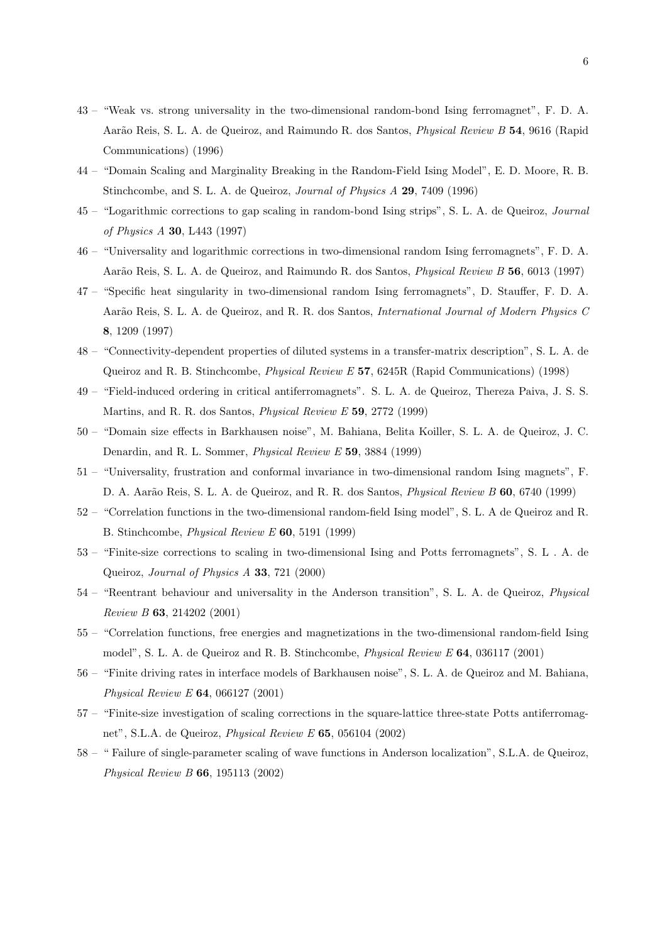- 43 "Weak vs. strong universality in the two-dimensional random-bond Ising ferromagnet", F. D. A. Aarão Reis, S. L. A. de Queiroz, and Raimundo R. dos Santos, *Physical Review B* 54, 9616 (Rapid Communications) (1996)
- 44 "Domain Scaling and Marginality Breaking in the Random-Field Ising Model", E. D. Moore, R. B. Stinchcombe, and S. L. A. de Queiroz, Journal of Physics A 29, 7409 (1996)
- 45 "Logarithmic corrections to gap scaling in random-bond Ising strips", S. L. A. de Queiroz, Journal of Physics A 30, L443 (1997)
- 46 "Universality and logarithmic corrections in two-dimensional random Ising ferromagnets", F. D. A. Aarão Reis, S. L. A. de Queiroz, and Raimundo R. dos Santos, *Physical Review B* 56, 6013 (1997)
- 47 "Specific heat singularity in two-dimensional random Ising ferromagnets", D. Stauffer, F. D. A. Aarão Reis, S. L. A. de Queiroz, and R. R. dos Santos, *International Journal of Modern Physics C* 8, 1209 (1997)
- 48 "Connectivity-dependent properties of diluted systems in a transfer-matrix description", S. L. A. de Queiroz and R. B. Stinchcombe, Physical Review E 57, 6245R (Rapid Communications) (1998)
- 49 "Field-induced ordering in critical antiferromagnets". S. L. A. de Queiroz, Thereza Paiva, J. S. S. Martins, and R. R. dos Santos, Physical Review E 59, 2772 (1999)
- 50 "Domain size effects in Barkhausen noise", M. Bahiana, Belita Koiller, S. L. A. de Queiroz, J. C. Denardin, and R. L. Sommer, Physical Review E 59, 3884 (1999)
- 51 "Universality, frustration and conformal invariance in two-dimensional random Ising magnets", F. D. A. Aarão Reis, S. L. A. de Queiroz, and R. R. dos Santos, *Physical Review B* 60, 6740 (1999)
- 52 "Correlation functions in the two-dimensional random-field Ising model", S. L. A de Queiroz and R. B. Stinchcombe, Physical Review E 60, 5191 (1999)
- 53 "Finite-size corrections to scaling in two-dimensional Ising and Potts ferromagnets", S. L . A. de Queiroz, Journal of Physics A 33, 721 (2000)
- 54 "Reentrant behaviour and universality in the Anderson transition", S. L. A. de Queiroz, Physical Review B 63, 214202 (2001)
- 55 "Correlation functions, free energies and magnetizations in the two-dimensional random-field Ising model", S. L. A. de Queiroz and R. B. Stinchcombe, *Physical Review E* 64, 036117 (2001)
- 56 "Finite driving rates in interface models of Barkhausen noise", S. L. A. de Queiroz and M. Bahiana, Physical Review E 64, 066127 (2001)
- 57 "Finite-size investigation of scaling corrections in the square-lattice three-state Potts antiferromagnet", S.L.A. de Queiroz, Physical Review E 65, 056104 (2002)
- 58 " Failure of single-parameter scaling of wave functions in Anderson localization", S.L.A. de Queiroz, Physical Review B 66, 195113 (2002)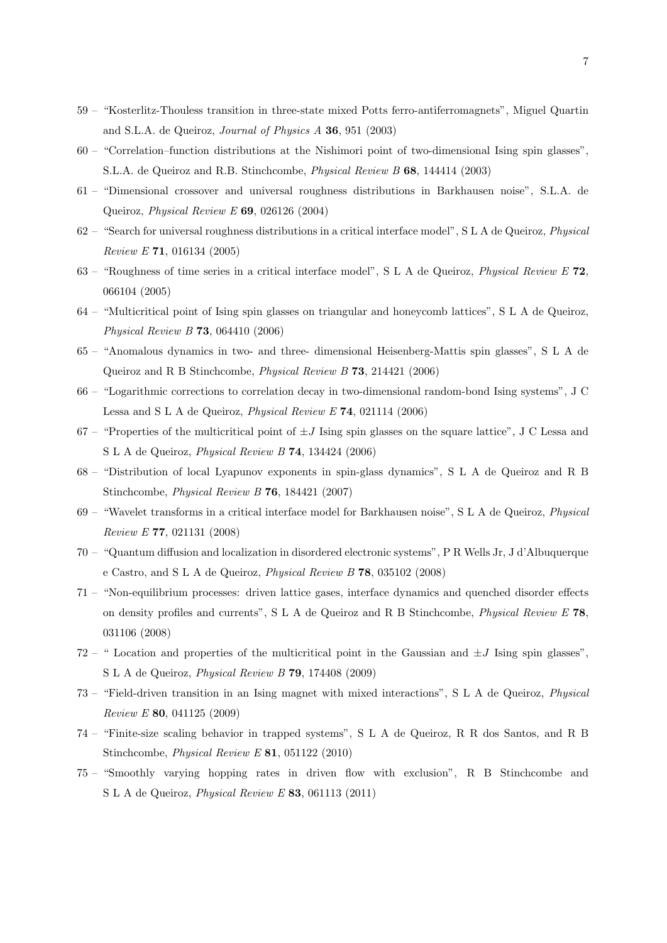- 59 "Kosterlitz-Thouless transition in three-state mixed Potts ferro-antiferromagnets", Miguel Quartin and S.L.A. de Queiroz, Journal of Physics A 36, 951 (2003)
- 60 "Correlation–function distributions at the Nishimori point of two-dimensional Ising spin glasses", S.L.A. de Queiroz and R.B. Stinchcombe, Physical Review B 68, 144414 (2003)
- 61 "Dimensional crossover and universal roughness distributions in Barkhausen noise", S.L.A. de Queiroz, Physical Review E 69, 026126 (2004)
- 62 "Search for universal roughness distributions in a critical interface model", S L A de Queiroz, Physical Review E 71, 016134 (2005)
- 63 "Roughness of time series in a critical interface model", S L A de Queiroz, Physical Review E 72, 066104 (2005)
- 64 "Multicritical point of Ising spin glasses on triangular and honeycomb lattices", S L A de Queiroz, Physical Review B 73, 064410 (2006)
- 65 "Anomalous dynamics in two- and three- dimensional Heisenberg-Mattis spin glasses", S L A de Queiroz and R B Stinchcombe, Physical Review B 73, 214421 (2006)
- 66 "Logarithmic corrections to correlation decay in two-dimensional random-bond Ising systems", J C Lessa and S L A de Queiroz, Physical Review E 74, 021114 (2006)
- 67 "Properties of the multicritical point of  $\pm J$  Ising spin glasses on the square lattice", J C Lessa and S L A de Queiroz, Physical Review B 74, 134424 (2006)
- 68 "Distribution of local Lyapunov exponents in spin-glass dynamics", S L A de Queiroz and R B Stinchcombe, Physical Review B 76, 184421 (2007)
- 69 "Wavelet transforms in a critical interface model for Barkhausen noise", S L A de Queiroz, Physical Review E 77, 021131 (2008)
- 70 "Quantum diffusion and localization in disordered electronic systems", P R Wells Jr, J d'Albuquerque e Castro, and S L A de Queiroz, Physical Review B 78, 035102 (2008)
- 71 "Non-equilibrium processes: driven lattice gases, interface dynamics and quenched disorder effects on density profiles and currents", S L A de Queiroz and R B Stinchcombe, Physical Review E 78, 031106 (2008)
- 72 " Location and properties of the multicritical point in the Gaussian and  $\pm J$  Ising spin glasses", S L A de Queiroz, Physical Review B 79, 174408 (2009)
- 73 "Field-driven transition in an Ising magnet with mixed interactions", S L A de Queiroz, Physical Review E 80, 041125 (2009)
- 74 "Finite-size scaling behavior in trapped systems", S L A de Queiroz, R R dos Santos, and R B Stinchcombe, Physical Review E 81, 051122 (2010)
- 75 "Smoothly varying hopping rates in driven flow with exclusion", R B Stinchcombe and S L A de Queiroz, Physical Review E 83, 061113 (2011)